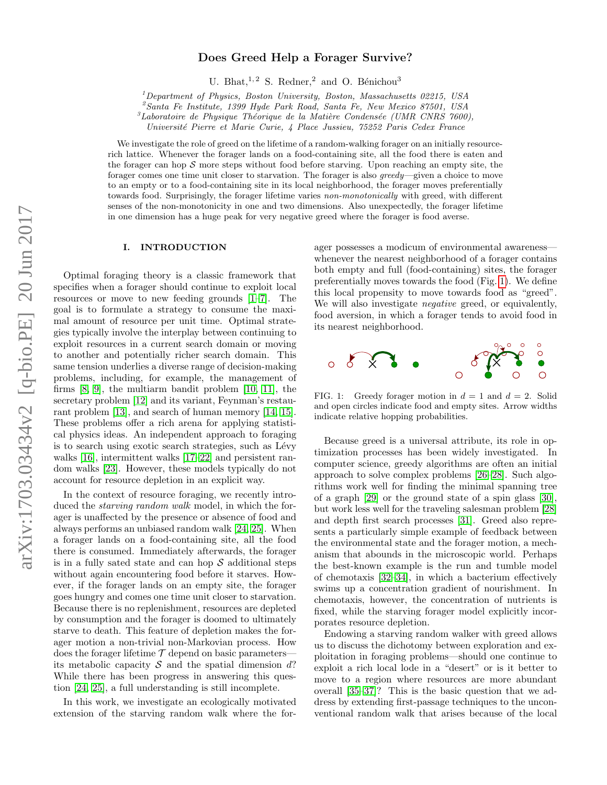# Does Greed Help a Forager Survive?

U. Bhat,  $1, 2$  S. Redner, 2 and O. Bénichou<sup>3</sup>

<sup>1</sup>Department of Physics, Boston University, Boston, Massachusetts 02215, USA

<sup>2</sup>Santa Fe Institute, 1399 Hyde Park Road, Santa Fe, New Mexico 87501, USA

 ${}^{3}$ Laboratoire de Physique Théorique de la Matière Condensée (UMR CNRS 7600),

Universit´e Pierre et Marie Curie, 4 Place Jussieu, 75252 Paris Cedex France

We investigate the role of greed on the lifetime of a random-walking forager on an initially resourcerich lattice. Whenever the forager lands on a food-containing site, all the food there is eaten and the forager can hop  $S$  more steps without food before starving. Upon reaching an empty site, the forager comes one time unit closer to starvation. The forager is also greedy—given a choice to move to an empty or to a food-containing site in its local neighborhood, the forager moves preferentially towards food. Surprisingly, the forager lifetime varies non-monotonically with greed, with different senses of the non-monotonicity in one and two dimensions. Also unexpectedly, the forager lifetime in one dimension has a huge peak for very negative greed where the forager is food averse.

## I. INTRODUCTION

Optimal foraging theory is a classic framework that specifies when a forager should continue to exploit local resources or move to new feeding grounds [\[1](#page-5-0)[–7\]](#page-5-1). The goal is to formulate a strategy to consume the maximal amount of resource per unit time. Optimal strategies typically involve the interplay between continuing to exploit resources in a current search domain or moving to another and potentially richer search domain. This same tension underlies a diverse range of decision-making problems, including, for example, the management of firms [\[8,](#page-5-2) [9\]](#page-5-3), the multiarm bandit problem [\[10,](#page-5-4) [11\]](#page-5-5), the secretary problem [\[12\]](#page-5-6) and its variant, Feynman's restaurant problem [\[13\]](#page-5-7), and search of human memory [\[14,](#page-5-8) [15\]](#page-5-9). These problems offer a rich arena for applying statistical physics ideas. An independent approach to foraging is to search using exotic search strategies, such as Lévy walks [\[16\]](#page-5-10), intermittent walks [\[17–](#page-5-11)[22\]](#page-5-12) and persistent random walks [\[23\]](#page-5-13). However, these models typically do not account for resource depletion in an explicit way.

In the context of resource foraging, we recently introduced the *starving random walk* model, in which the forager is unaffected by the presence or absence of food and always performs an unbiased random walk [\[24,](#page-5-14) [25\]](#page-5-15). When a forager lands on a food-containing site, all the food there is consumed. Immediately afterwards, the forager is in a fully sated state and can hop  $S$  additional steps without again encountering food before it starves. However, if the forager lands on an empty site, the forager goes hungry and comes one time unit closer to starvation. Because there is no replenishment, resources are depleted by consumption and the forager is doomed to ultimately starve to death. This feature of depletion makes the forager motion a non-trivial non-Markovian process. How does the forager lifetime  $\mathcal T$  depend on basic parameters its metabolic capacity  $S$  and the spatial dimension d? While there has been progress in answering this question [\[24,](#page-5-14) [25\]](#page-5-15), a full understanding is still incomplete.

In this work, we investigate an ecologically motivated extension of the starving random walk where the forager possesses a modicum of environmental awareness whenever the nearest neighborhood of a forager contains both empty and full (food-containing) sites, the forager preferentially moves towards the food (Fig. [1\)](#page-0-0). We define this local propensity to move towards food as "greed". We will also investigate *negative* greed, or equivalently, food aversion, in which a forager tends to avoid food in its nearest neighborhood.



<span id="page-0-0"></span>FIG. 1: Greedy forager motion in  $d = 1$  and  $d = 2$ . Solid and open circles indicate food and empty sites. Arrow widths indicate relative hopping probabilities.

Because greed is a universal attribute, its role in optimization processes has been widely investigated. In computer science, greedy algorithms are often an initial approach to solve complex problems [\[26–](#page-5-16)[28\]](#page-5-17). Such algorithms work well for finding the minimal spanning tree of a graph [\[29\]](#page-5-18) or the ground state of a spin glass [\[30\]](#page-6-0), but work less well for the traveling salesman problem [\[28\]](#page-5-17) and depth first search processes [\[31\]](#page-6-1). Greed also represents a particularly simple example of feedback between the environmental state and the forager motion, a mechanism that abounds in the microscopic world. Perhaps the best-known example is the run and tumble model of chemotaxis [\[32–](#page-6-2)[34\]](#page-6-3), in which a bacterium effectively swims up a concentration gradient of nourishment. In chemotaxis, however, the concentration of nutrients is fixed, while the starving forager model explicitly incorporates resource depletion.

Endowing a starving random walker with greed allows us to discuss the dichotomy between exploration and exploitation in foraging problems—should one continue to exploit a rich local lode in a "desert" or is it better to move to a region where resources are more abundant overall [\[35](#page-6-4)[–37\]](#page-6-5)? This is the basic question that we address by extending first-passage techniques to the unconventional random walk that arises because of the local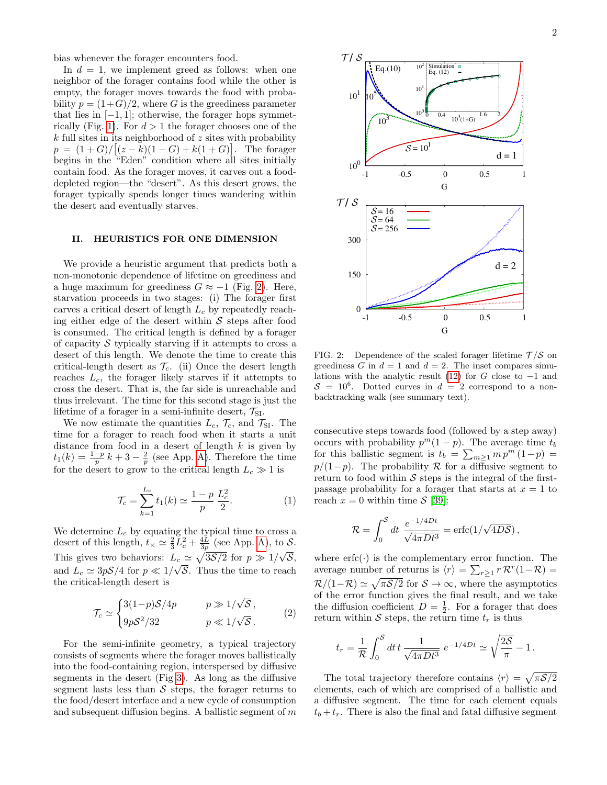bias whenever the forager encounters food.

In  $d = 1$ , we implement greed as follows: when one neighbor of the forager contains food while the other is empty, the forager moves towards the food with probability  $p = (1+G)/2$ , where G is the greediness parameter that lies in  $[-1, 1]$ ; otherwise, the forager hops symmet-rically (Fig. [1\)](#page-0-0). For  $d > 1$  the forager chooses one of the  $k$  full sites in its neighborhood of  $z$  sites with probability  $p = (1+G)/[(z-k)(1-G) + k(1+G)].$  The forager begins in the "Eden" condition where all sites initially contain food. As the forager moves, it carves out a fooddepleted region—the "desert". As this desert grows, the forager typically spends longer times wandering within the desert and eventually starves.

# II. HEURISTICS FOR ONE DIMENSION

We provide a heuristic argument that predicts both a non-monotonic dependence of lifetime on greediness and a huge maximum for greediness  $G \approx -1$  (Fig. [2\)](#page-1-0). Here, starvation proceeds in two stages: (i) The forager first carves a critical desert of length  $L_c$  by repeatedly reaching either edge of the desert within  $S$  steps after food is consumed. The critical length is defined by a forager of capacity  $S$  typically starving if it attempts to cross a desert of this length. We denote the time to create this critical-length desert as  $\mathcal{T}_c$ . (ii) Once the desert length reaches  $L_c$ , the forager likely starves if it attempts to cross the desert. That is, the far side is unreachable and thus irrelevant. The time for this second stage is just the lifetime of a forager in a semi-infinite desert,  $\mathcal{T}_{SI}$ .

We now estimate the quantities  $L_c$ ,  $\mathcal{T}_c$ , and  $\mathcal{T}_{\text{SI}}$ . The time for a forager to reach food when it starts a unit distance from food in a desert of length  $k$  is given by  $t_1(k) = \frac{1-p}{p}k + 3 - \frac{2}{p}$  (see App. [A\)](#page-4-0). Therefore the time for the desert to grow to the critical length  $L_c \gg 1$  is

<span id="page-1-2"></span>
$$
\mathcal{T}_c = \sum_{k=1}^{L_c} t_1(k) \simeq \frac{1-p}{p} \frac{L_c^2}{2}.
$$
 (1)

We determine  $L_c$  by equating the typical time to cross a desert of this length,  $t_{\times} \simeq \frac{2}{3} L_c^2 + \frac{4L}{3p}$  (see App. [A\)](#page-4-0), to S. This gives two behaviors:  $L_c \simeq \sqrt{3\mathcal{S}/2}$  for  $p \gg 1/\sqrt{\mathcal{S}}$ , and  $L_c \simeq 3p\mathcal{S}/4$  for  $p \ll 1/\sqrt{\mathcal{S}}$ . Thus the time to reach the critical-length desert is

<span id="page-1-1"></span>
$$
\mathcal{T}_c \simeq \begin{cases} 3(1-p)\mathcal{S}/4p & p \gg 1/\sqrt{\mathcal{S}} \,, \\ 9p\mathcal{S}^2/32 & p \ll 1/\sqrt{\mathcal{S}} \,. \end{cases} \tag{2}
$$

For the semi-infinite geometry, a typical trajectory consists of segments where the forager moves ballistically into the food-containing region, interspersed by diffusive segments in the desert (Fig [3\)](#page-2-0). As long as the diffusive segment lasts less than  $S$  steps, the forager returns to the food/desert interface and a new cycle of consumption and subsequent diffusion begins. A ballistic segment of  $m$ 



<span id="page-1-0"></span>FIG. 2: Dependence of the scaled forager lifetime  $\mathcal{T}/\mathcal{S}$  on greediness G in  $d = 1$  and  $d = 2$ . The inset compares simu-lations with the analytic result [\(12\)](#page-3-0) for G close to  $-1$  and  $S = 10^6$ . Dotted curves in  $d = 2$  correspond to a nonbacktracking walk (see summary text).

consecutive steps towards food (followed by a step away) occurs with probability  $p^m(1-p)$ . The average time  $t_b$ for this ballistic segment is  $t_b = \sum_{m\geq 1} m p^m (1-p) =$  $p/(1-p)$ . The probability R for a diffusive segment to return to food within  $S$  steps is the integral of the firstpassage probability for a forager that starts at  $x = 1$  to reach  $x = 0$  within time  $\mathcal{S}$  [\[39\]](#page-6-6):

$$
\mathcal{R} = \int_0^{\mathcal{S}} dt \; \frac{e^{-1/4Dt}}{\sqrt{4\pi Dt^3}} = \text{erfc}(1/\sqrt{4D\mathcal{S}}) \,,
$$

where  $erfc(\cdot)$  is the complementary error function. The average number of returns is  $\langle r \rangle = \sum_{r \geq 1} r \mathcal{R}^r (1 - \mathcal{R}) =$  $\mathcal{R}/(1-\mathcal{R}) \simeq \sqrt{\pi \mathcal{S}/2}$  for  $\mathcal{S} \to \infty$ , where the asymptotics of the error function gives the final result, and we take the diffusion coefficient  $D = \frac{1}{2}$ . For a forager that does return within S steps, the return time  $t_r$  is thus

$$
t_r = \frac{1}{R} \int_0^S dt \, t \, \frac{1}{\sqrt{4\pi Dt^3}} \, e^{-1/4Dt} \simeq \sqrt{\frac{2S}{\pi}} - 1 \, .
$$

The total trajectory therefore contains  $\langle r \rangle = \sqrt{\pi S/2}$ elements, each of which are comprised of a ballistic and a diffusive segment. The time for each element equals  $t_b + t_r$ . There is also the final and fatal diffusive segment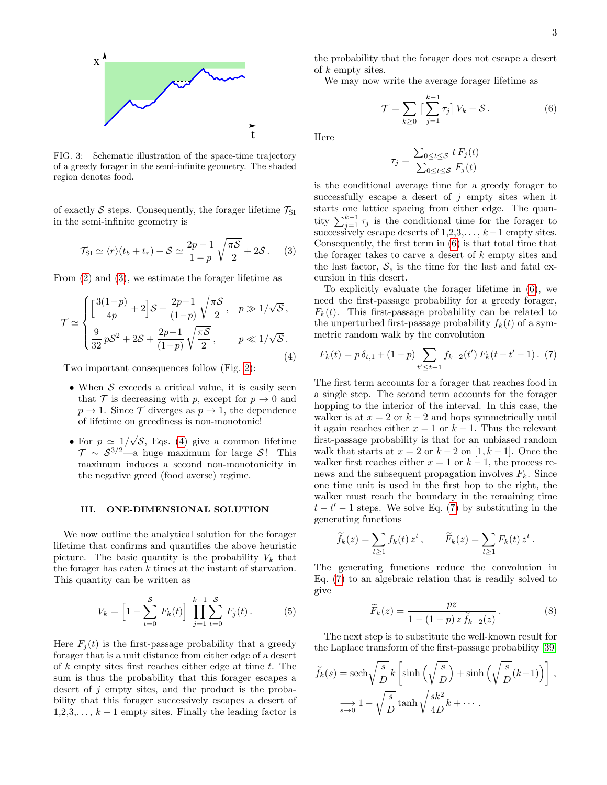

<span id="page-2-0"></span>FIG. 3: Schematic illustration of the space-time trajectory of a greedy forager in the semi-infinite geometry. The shaded region denotes food.

of exactly S steps. Consequently, the forager lifetime  $\mathcal{T}_{\text{SI}}$ in the semi-infinite geometry is

$$
\mathcal{T}_{\text{SI}} \simeq \langle r \rangle (t_b + t_r) + \mathcal{S} \simeq \frac{2p - 1}{1 - p} \sqrt{\frac{\pi \mathcal{S}}{2}} + 2\mathcal{S} \,. \tag{3}
$$

From [\(2\)](#page-1-1) and [\(3\)](#page-2-1), we estimate the forager lifetime as

<span id="page-2-2"></span>
$$
\mathcal{T} \simeq \begin{cases} \left[\frac{3(1-p)}{4p} + 2\right] \mathcal{S} + \frac{2p-1}{(1-p)} \sqrt{\frac{\pi \mathcal{S}}{2}}, & p \gg 1/\sqrt{\mathcal{S}},\\ \frac{9}{32} p\mathcal{S}^2 + 2\mathcal{S} + \frac{2p-1}{(1-p)} \sqrt{\frac{\pi \mathcal{S}}{2}}, & p \ll 1/\sqrt{\mathcal{S}}. \end{cases}
$$
\n(4)

Two important consequences follow (Fig. [2\)](#page-1-0):

- When  $S$  exceeds a critical value, it is easily seen that T is decreasing with p, except for  $p \to 0$  and  $p \to 1$ . Since T diverges as  $p \to 1$ , the dependence of lifetime on greediness is non-monotonic!
- For  $p \simeq 1/$ √  $S$ , Eqs. [\(4\)](#page-2-2) give a common lifetime  $\mathcal{T} \sim \mathcal{S}^{3/2}$ —a huge maximum for large  $\mathcal{S}$ ! This maximum induces a second non-monotonicity in the negative greed (food averse) regime.

#### III. ONE-DIMENSIONAL SOLUTION

We now outline the analytical solution for the forager lifetime that confirms and quantifies the above heuristic picture. The basic quantity is the probability  $V_k$  that the forager has eaten  $k$  times at the instant of starvation. This quantity can be written as

$$
V_k = \left[1 - \sum_{t=0}^{S} F_k(t)\right] \prod_{j=1}^{k-1} \sum_{t=0}^{S} F_j(t).
$$
 (5)

Here  $F_i(t)$  is the first-passage probability that a greedy forager that is a unit distance from either edge of a desert of k empty sites first reaches either edge at time  $t$ . The sum is thus the probability that this forager escapes a desert of j empty sites, and the product is the probability that this forager successively escapes a desert of  $1,2,3,\ldots, k-1$  empty sites. Finally the leading factor is

the probability that the forager does not escape a desert of k empty sites.

We may now write the average forager lifetime as

$$
\mathcal{T} = \sum_{k \ge 0} \left[ \sum_{j=1}^{k-1} \tau_j \right] V_k + \mathcal{S} \,. \tag{6}
$$

Here

<span id="page-2-3"></span>
$$
\tau_j = \frac{\sum_{0 \le t \le S} t F_j(t)}{\sum_{0 \le t \le S} F_j(t)}
$$

is the conditional average time for a greedy forager to successfully escape a desert of  $j$  empty sites when it starts one lattice spacing from either edge. The quantity  $\sum_{j=1}^{k-1} \tau_j$  is the conditional time for the forager to successively escape deserts of  $1,2,3,\ldots,k-1$  empty sites. Consequently, the first term in [\(6\)](#page-2-3) is that total time that the forager takes to carve a desert of  $k$  empty sites and the last factor,  $S$ , is the time for the last and fatal excursion in this desert.

<span id="page-2-1"></span>To explicitly evaluate the forager lifetime in [\(6\)](#page-2-3), we need the first-passage probability for a greedy forager,  $F_k(t)$ . This first-passage probability can be related to the unperturbed first-passage probability  $f_k(t)$  of a symmetric random walk by the convolution

<span id="page-2-4"></span>
$$
F_k(t) = p \, \delta_{t,1} + (1-p) \sum_{t' \le t-1} f_{k-2}(t') \, F_k(t-t'-1) \, . \tag{7}
$$

The first term accounts for a forager that reaches food in a single step. The second term accounts for the forager hopping to the interior of the interval. In this case, the walker is at  $x = 2$  or  $k - 2$  and hops symmetrically until it again reaches either  $x = 1$  or  $k - 1$ . Thus the relevant first-passage probability is that for an unbiased random walk that starts at  $x = 2$  or  $k - 2$  on [1, k – 1]. Once the walker first reaches either  $x = 1$  or  $k - 1$ , the process renews and the subsequent propagation involves  $F_k$ . Since one time unit is used in the first hop to the right, the walker must reach the boundary in the remaining time  $t - t' - 1$  steps. We solve Eq. [\(7\)](#page-2-4) by substituting in the generating functions

$$
\widetilde{f}_k(z) = \sum_{t \ge 1} f_k(t) z^t, \qquad \widetilde{F}_k(z) = \sum_{t \ge 1} F_k(t) z^t.
$$

The generating functions reduce the convolution in Eq. [\(7\)](#page-2-4) to an algebraic relation that is readily solved to give

<span id="page-2-5"></span>
$$
\widetilde{F}_k(z) = \frac{pz}{1 - (1 - p) z \widetilde{f}_{k-2}(z)}.
$$
\n(8)

The next step is to substitute the well-known result for the Laplace transform of the first-passage probability [\[39\]](#page-6-6)

$$
\widetilde{f}_k(s) = \operatorname{sech}\sqrt{\frac{s}{D}} k \left[ \sinh\left(\sqrt{\frac{s}{D}}\right) + \sinh\left(\sqrt{\frac{s}{D}}(k-1)\right) \right],
$$

$$
\lim_{s \to 0} 1 - \sqrt{\frac{s}{D}} \tanh\sqrt{\frac{sk^2}{4D}} k + \cdots.
$$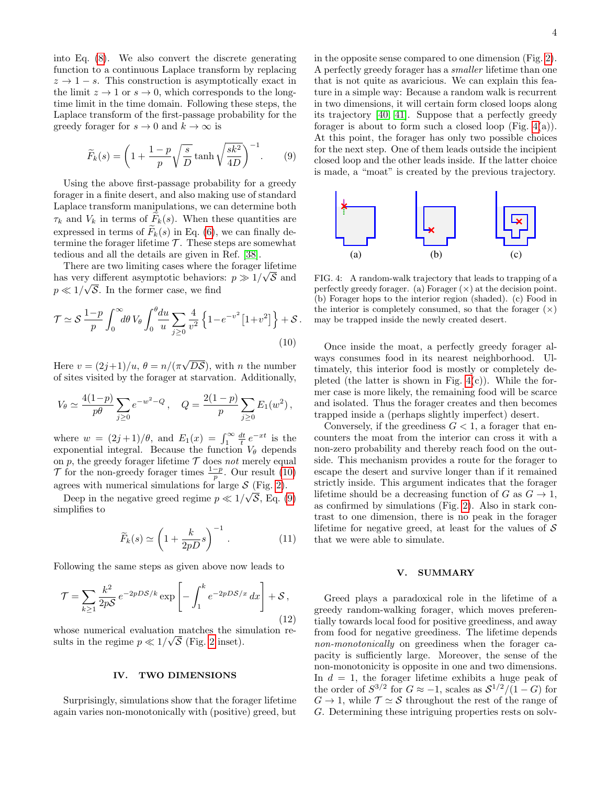into Eq. [\(8\)](#page-2-5). We also convert the discrete generating function to a continuous Laplace transform by replacing  $z \to 1-s$ . This construction is asymptotically exact in the limit  $z \to 1$  or  $s \to 0$ , which corresponds to the longtime limit in the time domain. Following these steps, the Laplace transform of the first-passage probability for the greedy forager for  $s \to 0$  and  $k \to \infty$  is

<span id="page-3-2"></span>
$$
\widetilde{F}_k(s) = \left(1 + \frac{1-p}{p}\sqrt{\frac{s}{D}}\tanh\sqrt{\frac{sk^2}{4D}}\right)^{-1}.\tag{9}
$$

Using the above first-passage probability for a greedy forager in a finite desert, and also making use of standard Laplace transform manipulations, we can determine both  $\tau_k$  and  $V_k$  in terms of  $\tilde{F}_k(s)$ . When these quantities are expressed in terms of  $\widetilde{F}_k(s)$  in Eq. [\(6\)](#page-2-3), we can finally determine the forager lifetime  $\mathcal T$ . These steps are somewhat tedious and all the details are given in Ref. [\[38\]](#page-6-7).

There are two limiting cases where the forager lifetime has very different asymptotic behaviors:  $p \gg 1/\sqrt{S}$  and  $p \ll 1/\sqrt{S}$ . In the former case, we find

$$
\mathcal{T} \simeq \mathcal{S} \frac{1-p}{p} \int_0^\infty d\theta \, V_\theta \int_0^\theta \frac{du}{u} \sum_{j \ge 0} \frac{4}{v^2} \left\{ 1 - e^{-v^2} \left[ 1 + v^2 \right] \right\} + \mathcal{S} \,. \tag{10}
$$

Here  $v = (2j+1)/u, \theta = n/(\pi)$ √  $D\mathcal{S}$ , with *n* the number of sites visited by the forager at starvation. Additionally,

$$
V_{\theta} \simeq \frac{4(1-p)}{p\theta} \sum_{j\geq 0} e^{-w^2 - Q}, \quad Q = \frac{2(1-p)}{p} \sum_{j\geq 0} E_1(w^2),
$$

where  $w = (2j+1)/\theta$ , and  $E_1(x) = \int_1^{\infty} \frac{dt}{t} e^{-xt}$  is the exponential integral. Because the function  $V_{\theta}$  depends on p, the greedy forager lifetime  $\mathcal T$  does not merely equal  $\mathcal T$  for the non-greedy forager times  $\frac{1-p}{p}$ . Our result [\(10\)](#page-3-1) agrees with numerical simulations for large  $S$  (Fig. [2\)](#page-1-0).

Deep in the negative greed regime  $p \ll 1/\sqrt{S}$ , Eq. [\(9\)](#page-3-2) simplifies to

$$
\widetilde{F}_k(s) \simeq \left(1 + \frac{k}{2pD}s\right)^{-1}.
$$
\n(11)

Following the same steps as given above now leads to

<span id="page-3-0"></span>
$$
\mathcal{T} = \sum_{k\geq 1} \frac{k^2}{2p\mathcal{S}} e^{-2pDS/k} \exp\left[-\int_1^k e^{-2pDS/x} dx\right] + \mathcal{S},\tag{12}
$$

whose numerical evaluation matches the simulation results in the regime  $p \ll 1/\sqrt{S}$  (Fig. [2](#page-1-0) inset).

# IV. TWO DIMENSIONS

Surprisingly, simulations show that the forager lifetime again varies non-monotonically with (positive) greed, but

in the opposite sense compared to one dimension (Fig. [2\)](#page-1-0). A perfectly greedy forager has a smaller lifetime than one that is not quite as avaricious. We can explain this feature in a simple way: Because a random walk is recurrent in two dimensions, it will certain form closed loops along its trajectory [\[40,](#page-6-8) [41\]](#page-6-9). Suppose that a perfectly greedy forager is about to form such a closed loop (Fig.  $4(a)$ ). At this point, the forager has only two possible choices for the next step. One of them leads outside the incipient closed loop and the other leads inside. If the latter choice is made, a "moat" is created by the previous trajectory.



<span id="page-3-3"></span>FIG. 4: A random-walk trajectory that leads to trapping of a perfectly greedy forager. (a) Forager  $(\times)$  at the decision point. (b) Forager hops to the interior region (shaded). (c) Food in the interior is completely consumed, so that the forager  $(\times)$ may be trapped inside the newly created desert.

<span id="page-3-1"></span>Once inside the moat, a perfectly greedy forager always consumes food in its nearest neighborhood. Ultimately, this interior food is mostly or completely depleted (the latter is shown in Fig.  $4(c)$ ). While the former case is more likely, the remaining food will be scarce and isolated. Thus the forager creates and then becomes trapped inside a (perhaps slightly imperfect) desert.

Conversely, if the greediness  $G < 1$ , a forager that encounters the moat from the interior can cross it with a non-zero probability and thereby reach food on the outside. This mechanism provides a route for the forager to escape the desert and survive longer than if it remained strictly inside. This argument indicates that the forager lifetime should be a decreasing function of G as  $G \to 1$ , as confirmed by simulations (Fig. [2\)](#page-1-0). Also in stark contrast to one dimension, there is no peak in the forager lifetime for negative greed, at least for the values of  $\mathcal S$ that we were able to simulate.

## V. SUMMARY

Greed plays a paradoxical role in the lifetime of a greedy random-walking forager, which moves preferentially towards local food for positive greediness, and away from food for negative greediness. The lifetime depends non-monotonically on greediness when the forager capacity is sufficiently large. Moreover, the sense of the non-monotonicity is opposite in one and two dimensions. In  $d = 1$ , the forager lifetime exhibits a huge peak of the order of  $S^{3/2}$  for  $G \approx -1$ , scales as  $S^{1/2}/(1-G)$  for  $G \to 1$ , while  $\mathcal{T} \simeq \mathcal{S}$  throughout the rest of the range of G. Determining these intriguing properties rests on solv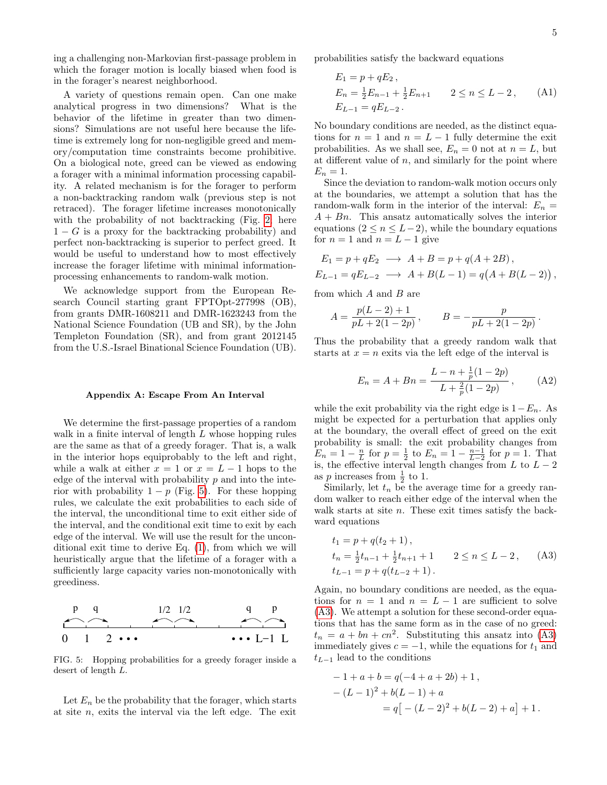ing a challenging non-Markovian first-passage problem in which the forager motion is locally biased when food is in the forager's nearest neighborhood.

A variety of questions remain open. Can one make analytical progress in two dimensions? What is the behavior of the lifetime in greater than two dimensions? Simulations are not useful here because the lifetime is extremely long for non-negligible greed and memory/computation time constraints become prohibitive. On a biological note, greed can be viewed as endowing a forager with a minimal information processing capability. A related mechanism is for the forager to perform a non-backtracking random walk (previous step is not retraced). The forager lifetime increases monotonically with the probability of not backtracking (Fig. [2;](#page-1-0) here  $1 - G$  is a proxy for the backtracking probability) and perfect non-backtracking is superior to perfect greed. It would be useful to understand how to most effectively increase the forager lifetime with minimal informationprocessing enhancements to random-walk motion.

We acknowledge support from the European Research Council starting grant FPTOpt-277998 (OB), from grants DMR-1608211 and DMR-1623243 from the National Science Foundation (UB and SR), by the John Templeton Foundation (SR), and from grant 2012145 from the U.S.-Israel Binational Science Foundation (UB).

#### <span id="page-4-0"></span>Appendix A: Escape From An Interval

We determine the first-passage properties of a random walk in a finite interval of length L whose hopping rules are the same as that of a greedy forager. That is, a walk in the interior hops equiprobably to the left and right, while a walk at either  $x = 1$  or  $x = L - 1$  hops to the edge of the interval with probability  $p$  and into the interior with probability  $1 - p$  (Fig. [5\)](#page-4-1). For these hopping rules, we calculate the exit probabilities to each side of the interval, the unconditional time to exit either side of the interval, and the conditional exit time to exit by each edge of the interval. We will use the result for the unconditional exit time to derive Eq. [\(1\)](#page-1-2), from which we will heuristically argue that the lifetime of a forager with a sufficiently large capacity varies non-monotonically with greediness.



<span id="page-4-1"></span>FIG. 5: Hopping probabilities for a greedy forager inside a desert of length L.

Let  $E_n$  be the probability that the forager, which starts at site  $n$ , exits the interval via the left edge. The exit

probabilities satisfy the backward equations

$$
E_1 = p + qE_2,
$$
  
\n
$$
E_n = \frac{1}{2}E_{n-1} + \frac{1}{2}E_{n+1} \qquad 2 \le n \le L - 2,
$$
 (A1)  
\n
$$
E_{L-1} = qE_{L-2}.
$$

No boundary conditions are needed, as the distinct equations for  $n = 1$  and  $n = L - 1$  fully determine the exit probabilities. As we shall see,  $E_n = 0$  not at  $n = L$ , but at different value of  $n$ , and similarly for the point where  $E_n=1$ .

Since the deviation to random-walk motion occurs only at the boundaries, we attempt a solution that has the random-walk form in the interior of the interval:  $E_n =$  $A + Bn$ . This ansatz automatically solves the interior equations  $(2 \le n \le L-2)$ , while the boundary equations for  $n = 1$  and  $n = L - 1$  give

$$
E_1 = p + qE_2 \longrightarrow A + B = p + q(A + 2B),
$$
  
\n
$$
E_{L-1} = qE_{L-2} \longrightarrow A + B(L-1) = q(A + B(L-2)),
$$

from which  $A$  and  $B$  are

$$
A = \frac{p(L-2) + 1}{pL + 2(1-2p)}, \qquad B = -\frac{p}{pL + 2(1-2p)}.
$$

Thus the probability that a greedy random walk that starts at  $x = n$  exits via the left edge of the interval is

<span id="page-4-3"></span>
$$
E_n = A + Bn = \frac{L - n + \frac{1}{p}(1 - 2p)}{L + \frac{2}{p}(1 - 2p)},
$$
 (A2)

while the exit probability via the right edge is  $1-E_n$ . As might be expected for a perturbation that applies only at the boundary, the overall effect of greed on the exit probability is small: the exit probability changes from  $E_n = 1 - \frac{n}{L}$  for  $p = \frac{1}{2}$  to  $E_n = 1 - \frac{n-1}{L-2}$  for  $p = 1$ . That is, the effective interval length changes from  $L$  to  $L - 2$ as  $p$  increases from  $\frac{1}{2}$  to 1.

Similarly, let  $t_n$  be the average time for a greedy random walker to reach either edge of the interval when the walk starts at site *n*. These exit times satisfy the backward equations

<span id="page-4-2"></span>
$$
t_1 = p + q(t_2 + 1),
$$
  
\n
$$
t_n = \frac{1}{2}t_{n-1} + \frac{1}{2}t_{n+1} + 1 \qquad 2 \le n \le L - 2,
$$
 (A3)  
\n
$$
t_{L-1} = p + q(t_{L-2} + 1).
$$

Again, no boundary conditions are needed, as the equations for  $n = 1$  and  $n = L - 1$  are sufficient to solve [\(A3\)](#page-4-2). We attempt a solution for these second-order equations that has the same form as in the case of no greed:  $t_n = a + bn + cn^2$ . Substituting this ansatz into [\(A3\)](#page-4-2) immediately gives  $c = -1$ , while the equations for  $t_1$  and  $t_{L-1}$  lead to the conditions

$$
-1 + a + b = q(-4 + a + 2b) + 1,
$$
  

$$
-(L-1)^{2} + b(L-1) + a
$$
  

$$
= q[-(L-2)^{2} + b(L-2) + a] + 1.
$$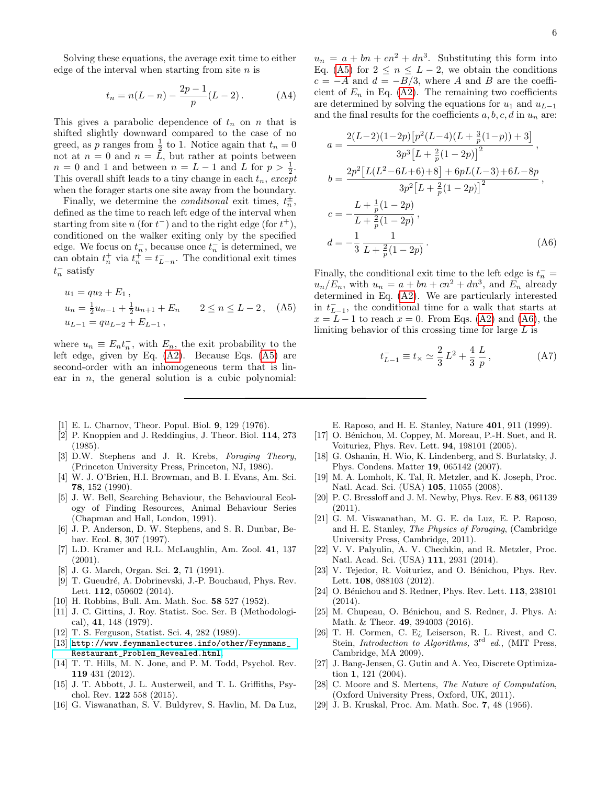Solving these equations, the average exit time to either edge of the interval when starting from site  $n$  is

$$
t_n = n(L - n) - \frac{2p - 1}{p}(L - 2).
$$
 (A4)

This gives a parabolic dependence of  $t_n$  on n that is shifted slightly downward compared to the case of no greed, as p ranges from  $\frac{1}{2}$  to 1. Notice again that  $t_n = 0$ not at  $n = 0$  and  $n = \tilde{L}$ , but rather at points between  $n = 0$  and 1 and between  $n = L - 1$  and L for  $p > \frac{1}{2}$ . This overall shift leads to a tiny change in each  $t_n$ , except when the forager starts one site away from the boundary.

Finally, we determine the *conditional* exit times,  $t_n^{\pm}$ , defined as the time to reach left edge of the interval when starting from site  $n$  (for  $t^-$ ) and to the right edge (for  $t^+$ ), conditioned on the walker exiting only by the specified edge. We focus on  $t_n^-$ , because once  $t_n^-$  is determined, we can obtain  $t_n^+$  via  $t_n^+ = t_{L-n}^-$ . The conditional exit times  $t_n^-$  satisfy

$$
u_1 = qu_2 + E_1,
$$
  
\n
$$
u_n = \frac{1}{2}u_{n-1} + \frac{1}{2}u_{n+1} + E_n \qquad 2 \le n \le L - 2, \quad (A5)
$$
  
\n
$$
u_{L-1} = qu_{L-2} + E_{L-1},
$$

where  $u_n \equiv E_n t_n^-$ , with  $E_n$ , the exit probability to the left edge, given by Eq. [\(A2\)](#page-4-3). Because Eqs. [\(A5\)](#page-5-19) are second-order with an inhomogeneous term that is linear in  $n$ , the general solution is a cubic polynomial:

- <span id="page-5-0"></span>[1] E. L. Charnov, Theor. Popul. Biol. 9, 129 (1976).
- [2] P. Knoppien and J. Reddingius, J. Theor. Biol. 114, 273 (1985).
- [3] D.W. Stephens and J. R. Krebs, Foraging Theory, (Princeton University Press, Princeton, NJ, 1986).
- [4] W. J. O'Brien, H.I. Browman, and B. I. Evans, Am. Sci. 78, 152 (1990).
- [5] J. W. Bell, Searching Behaviour, the Behavioural Ecology of Finding Resources, Animal Behaviour Series (Chapman and Hall, London, 1991).
- [6] J. P. Anderson, D. W. Stephens, and S. R. Dunbar, Behav. Ecol. 8, 307 (1997).
- <span id="page-5-1"></span>[7] L.D. Kramer and R.L. McLaughlin, Am. Zool. 41, 137 (2001).
- <span id="page-5-2"></span>[8] J. G. March, Organ. Sci. 2, 71 (1991).
- <span id="page-5-3"></span>[9] T. Gueudré, A. Dobrinevski, J.-P. Bouchaud, Phys. Rev. Lett. 112, 050602 (2014).
- <span id="page-5-4"></span>[10] H. Robbins, Bull. Am. Math. Soc. 58 527 (1952).
- <span id="page-5-5"></span>[11] J. C. Gittins, J. Roy. Statist. Soc. Ser. B (Methodological), 41, 148 (1979).
- <span id="page-5-6"></span>[12] T. S. Ferguson, Statist. Sci. 4, 282 (1989).
- <span id="page-5-7"></span>[13] [http://www.feynmanlectures.info/other/Feynmans\\_](http://www.feynmanlectures.info/other/Feynmans_Restaurant_Problem_Revealed.html) [Restaurant\\_Problem\\_Revealed.html](http://www.feynmanlectures.info/other/Feynmans_Restaurant_Problem_Revealed.html).
- <span id="page-5-8"></span>[14] T. T. Hills, M. N. Jone, and P. M. Todd, Psychol. Rev. 119 431 (2012).
- <span id="page-5-9"></span>[15] J. T. Abbott, J. L. Austerweil, and T. L. Griffiths, Psychol. Rev. 122 558 (2015).
- <span id="page-5-10"></span>[16] G. Viswanathan, S. V. Buldyrev, S. Havlin, M. Da Luz,

 $u_n = a + bn + cn^2 + dn^3$ . Substituting this form into Eq. [\(A5\)](#page-5-19) for  $2 \leq n \leq L-2$ , we obtain the conditions  $c = -A$  and  $d = -B/3$ , where A and B are the coefficient of  $E_n$  in Eq. [\(A2\)](#page-4-3). The remaining two coefficients are determined by solving the equations for  $u_1$  and  $u_{L-1}$ and the final results for the coefficients  $a, b, c, d$  in  $u_n$  are:

$$
a = \frac{2(L-2)(1-2p)\left[p^2(L-4)(L+\frac{3}{p}(1-p)) + 3\right]}{3p^3\left[L+\frac{2}{p}(1-2p)\right]^2},
$$
  
\n
$$
b = \frac{2p^2\left[L(L^2-6L+6)+8\right] + 6pL(L-3) + 6L - 8p}{3p^2\left[L+\frac{2}{p}(1-2p)\right]^2},
$$
  
\n
$$
c = -\frac{L+\frac{1}{p}(1-2p)}{L+\frac{2}{p}(1-2p)},
$$
  
\n
$$
d = -\frac{1}{3}\frac{1}{L+\frac{2}{p}(1-2p)}.
$$
\n(A6)

<span id="page-5-19"></span>Finally, the conditional exit time to the left edge is  $t_n^-$  =  $u_n/E_n$ , with  $u_n = a + bn + cn^2 + dn^3$ , and  $E_n$  already determined in Eq. [\(A2\)](#page-4-3). We are particularly interested in  $t_{L-1}^-$ , the conditional time for a walk that starts at  $x = L - 1$  to reach  $x = 0$ . From Eqs. [\(A2\)](#page-4-3) and [\(A6\)](#page-5-20), the limiting behavior of this crossing time for large  $L$  is

<span id="page-5-20"></span>
$$
t_{L-1}^- \equiv t_{\times} \simeq \frac{2}{3} L^2 + \frac{4}{3} \frac{L}{p}, \qquad (A7)
$$

- E. Raposo, and H. E. Stanley, Nature 401, 911 (1999).
- <span id="page-5-11"></span>[17] O. Bénichou, M. Coppey, M. Moreau, P.-H. Suet, and R. Voituriez, Phys. Rev. Lett. 94, 198101 (2005).
- [18] G. Oshanin, H. Wio, K. Lindenberg, and S. Burlatsky, J. Phys. Condens. Matter 19, 065142 (2007).
- [19] M. A. Lomholt, K. Tal, R. Metzler, and K. Joseph, Proc. Natl. Acad. Sci. (USA) 105, 11055 (2008).
- [20] P. C. Bressloff and J. M. Newby, Phys. Rev. E 83, 061139 (2011).
- [21] G. M. Viswanathan, M. G. E. da Luz, E. P. Raposo, and H. E. Stanley, The Physics of Foraging, (Cambridge University Press, Cambridge, 2011).
- <span id="page-5-12"></span>[22] V. V. Palyulin, A. V. Chechkin, and R. Metzler, Proc. Natl. Acad. Sci. (USA) 111, 2931 (2014).
- <span id="page-5-13"></span>[23] V. Tejedor, R. Voituriez, and O. Bénichou, Phys. Rev. Lett. 108, 088103 (2012).
- <span id="page-5-14"></span>[24] O. Bénichou and S. Redner, Phys. Rev. Lett. **113**, 238101 (2014).
- <span id="page-5-15"></span>[25] M. Chupeau, O. Bénichou, and S. Redner, J. Phys. A: Math. & Theor. 49, 394003 (2016).
- <span id="page-5-16"></span>[26] T. H. Cormen, C. E¿ Leiserson, R. L. Rivest, and C. Stein, Introduction to Algorithms,  $3<sup>rd</sup>$  ed., (MIT Press, Cambridge, MA 2009).
- [27] J. Bang-Jensen, G. Gutin and A. Yeo, Discrete Optimization 1, 121 (2004).
- <span id="page-5-17"></span>[28] C. Moore and S. Mertens, The Nature of Computation, (Oxford University Press, Oxford, UK, 2011).
- <span id="page-5-18"></span>[29] J. B. Kruskal, Proc. Am. Math. Soc. 7, 48 (1956).